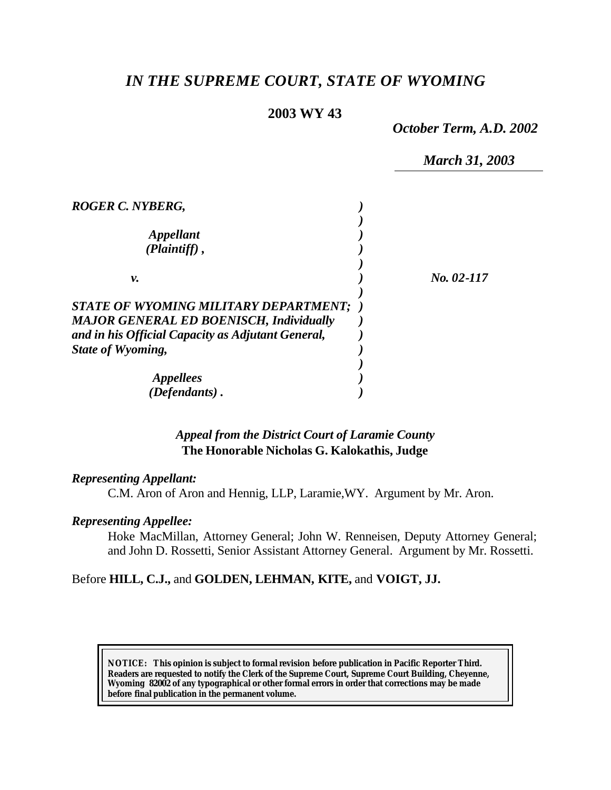# *IN THE SUPREME COURT, STATE OF WYOMING*

# **2003 WY 43**

*October Term, A.D. 2002*

|                                                                                         | <b>March 31, 2003</b> |
|-----------------------------------------------------------------------------------------|-----------------------|
| ROGER C. NYBERG,                                                                        |                       |
| <i><b>Appellant</b></i><br>$(Plaintiff)$ ,                                              |                       |
| ν.                                                                                      | $No. 02-117$          |
| STATE OF WYOMING MILITARY DEPARTMENT;<br><b>MAJOR GENERAL ED BOENISCH, Individually</b> |                       |
| and in his Official Capacity as Adjutant General,<br>State of Wyoming,                  |                       |
| <i>Appellees</i>                                                                        |                       |
| (Defendants).                                                                           |                       |

# *Appeal from the District Court of Laramie County* **The Honorable Nicholas G. Kalokathis, Judge**

### *Representing Appellant:*

C.M. Aron of Aron and Hennig, LLP, Laramie,WY. Argument by Mr. Aron.

# *Representing Appellee:*

Hoke MacMillan, Attorney General; John W. Renneisen, Deputy Attorney General; and John D. Rossetti, Senior Assistant Attorney General. Argument by Mr. Rossetti.

# Before **HILL, C.J.,** and **GOLDEN, LEHMAN, KITE,** and **VOIGT, JJ.**

**NOTICE:** *This opinion is subject to formal revision before publication in Pacific Reporter Third. Readers are requested to notify the Clerk of the Supreme Court, Supreme Court Building, Cheyenne, Wyoming 82002 of any typographical or other formal errors in order that corrections may be made before final publication in the permanent volume.*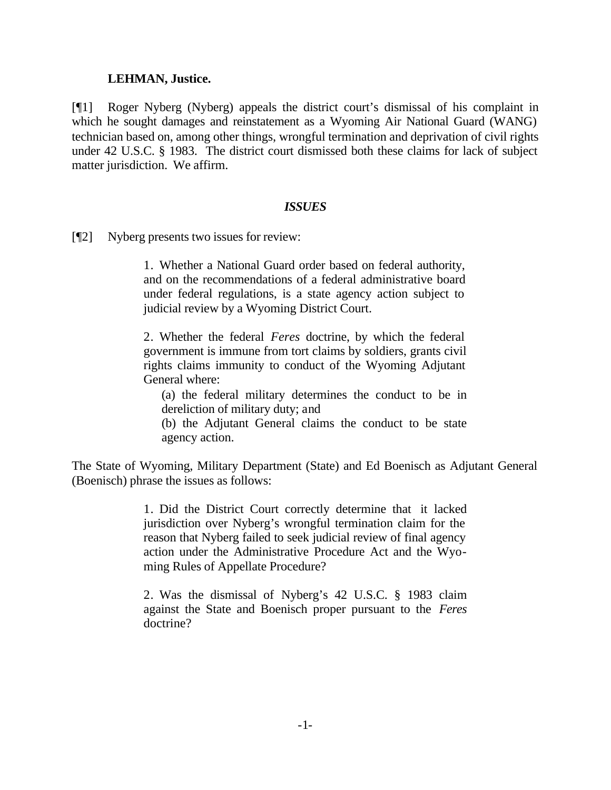#### **LEHMAN, Justice.**

[¶1] Roger Nyberg (Nyberg) appeals the district court's dismissal of his complaint in which he sought damages and reinstatement as a Wyoming Air National Guard (WANG) technician based on, among other things, wrongful termination and deprivation of civil rights under 42 U.S.C. § 1983. The district court dismissed both these claims for lack of subject matter jurisdiction. We affirm.

#### *ISSUES*

[¶2] Nyberg presents two issues for review:

1. Whether a National Guard order based on federal authority, and on the recommendations of a federal administrative board under federal regulations, is a state agency action subject to judicial review by a Wyoming District Court.

2. Whether the federal *Feres* doctrine, by which the federal government is immune from tort claims by soldiers, grants civil rights claims immunity to conduct of the Wyoming Adjutant General where:

(a) the federal military determines the conduct to be in dereliction of military duty; and

(b) the Adjutant General claims the conduct to be state agency action.

The State of Wyoming, Military Department (State) and Ed Boenisch as Adjutant General (Boenisch) phrase the issues as follows:

> 1. Did the District Court correctly determine that it lacked jurisdiction over Nyberg's wrongful termination claim for the reason that Nyberg failed to seek judicial review of final agency action under the Administrative Procedure Act and the Wyoming Rules of Appellate Procedure?

> 2. Was the dismissal of Nyberg's 42 U.S.C. § 1983 claim against the State and Boenisch proper pursuant to the *Feres* doctrine?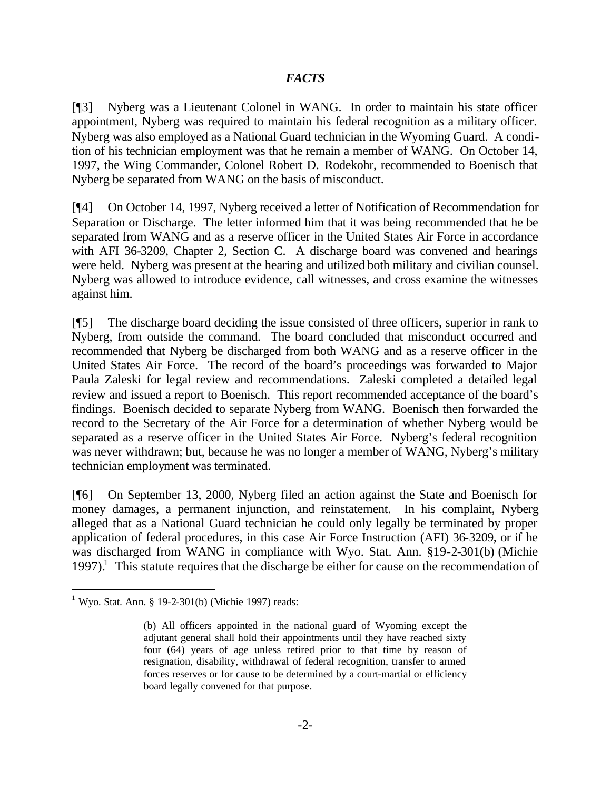# *FACTS*

[¶3] Nyberg was a Lieutenant Colonel in WANG. In order to maintain his state officer appointment, Nyberg was required to maintain his federal recognition as a military officer. Nyberg was also employed as a National Guard technician in the Wyoming Guard. A condition of his technician employment was that he remain a member of WANG. On October 14, 1997, the Wing Commander, Colonel Robert D. Rodekohr, recommended to Boenisch that Nyberg be separated from WANG on the basis of misconduct.

[¶4] On October 14, 1997, Nyberg received a letter of Notification of Recommendation for Separation or Discharge. The letter informed him that it was being recommended that he be separated from WANG and as a reserve officer in the United States Air Force in accordance with AFI 36-3209, Chapter 2, Section C. A discharge board was convened and hearings were held. Nyberg was present at the hearing and utilized both military and civilian counsel. Nyberg was allowed to introduce evidence, call witnesses, and cross examine the witnesses against him.

[¶5] The discharge board deciding the issue consisted of three officers, superior in rank to Nyberg, from outside the command. The board concluded that misconduct occurred and recommended that Nyberg be discharged from both WANG and as a reserve officer in the United States Air Force. The record of the board's proceedings was forwarded to Major Paula Zaleski for legal review and recommendations. Zaleski completed a detailed legal review and issued a report to Boenisch. This report recommended acceptance of the board's findings. Boenisch decided to separate Nyberg from WANG. Boenisch then forwarded the record to the Secretary of the Air Force for a determination of whether Nyberg would be separated as a reserve officer in the United States Air Force. Nyberg's federal recognition was never withdrawn; but, because he was no longer a member of WANG, Nyberg's military technician employment was terminated.

[¶6] On September 13, 2000, Nyberg filed an action against the State and Boenisch for money damages, a permanent injunction, and reinstatement. In his complaint, Nyberg alleged that as a National Guard technician he could only legally be terminated by proper application of federal procedures, in this case Air Force Instruction (AFI) 36-3209, or if he was discharged from WANG in compliance with Wyo. Stat. Ann. §19-2-301(b) (Michie 1997).<sup>1</sup> This statute requires that the discharge be either for cause on the recommendation of

<sup>&</sup>lt;sup>1</sup> Wyo. Stat. Ann. § 19-2-301(b) (Michie 1997) reads:

<sup>(</sup>b) All officers appointed in the national guard of Wyoming except the adjutant general shall hold their appointments until they have reached sixty four (64) years of age unless retired prior to that time by reason of resignation, disability, withdrawal of federal recognition, transfer to armed forces reserves or for cause to be determined by a court-martial or efficiency board legally convened for that purpose.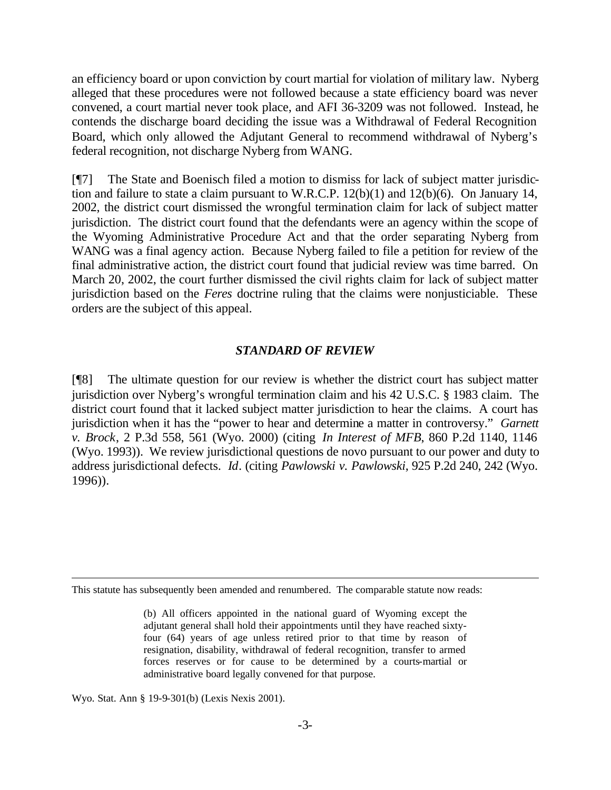an efficiency board or upon conviction by court martial for violation of military law. Nyberg alleged that these procedures were not followed because a state efficiency board was never convened, a court martial never took place, and AFI 36-3209 was not followed. Instead, he contends the discharge board deciding the issue was a Withdrawal of Federal Recognition Board, which only allowed the Adjutant General to recommend withdrawal of Nyberg's federal recognition, not discharge Nyberg from WANG.

[¶7] The State and Boenisch filed a motion to dismiss for lack of subject matter jurisdiction and failure to state a claim pursuant to W.R.C.P. 12(b)(1) and 12(b)(6). On January 14, 2002, the district court dismissed the wrongful termination claim for lack of subject matter jurisdiction. The district court found that the defendants were an agency within the scope of the Wyoming Administrative Procedure Act and that the order separating Nyberg from WANG was a final agency action. Because Nyberg failed to file a petition for review of the final administrative action, the district court found that judicial review was time barred. On March 20, 2002, the court further dismissed the civil rights claim for lack of subject matter jurisdiction based on the *Feres* doctrine ruling that the claims were nonjusticiable. These orders are the subject of this appeal.

#### *STANDARD OF REVIEW*

[¶8] The ultimate question for our review is whether the district court has subject matter jurisdiction over Nyberg's wrongful termination claim and his 42 U.S.C. § 1983 claim. The district court found that it lacked subject matter jurisdiction to hear the claims. A court has jurisdiction when it has the "power to hear and determine a matter in controversy." *Garnett v. Brock*, 2 P.3d 558, 561 (Wyo. 2000) (citing *In Interest of MFB*, 860 P.2d 1140, 1146 (Wyo. 1993)). We review jurisdictional questions de novo pursuant to our power and duty to address jurisdictional defects. *Id*. (citing *Pawlowski v. Pawlowski*, 925 P.2d 240, 242 (Wyo. 1996)).

Wyo. Stat. Ann § 19-9-301(b) (Lexis Nexis 2001).

This statute has subsequently been amended and renumbered. The comparable statute now reads:

<sup>(</sup>b) All officers appointed in the national guard of Wyoming except the adjutant general shall hold their appointments until they have reached sixtyfour (64) years of age unless retired prior to that time by reason of resignation, disability, withdrawal of federal recognition, transfer to armed forces reserves or for cause to be determined by a courts-martial or administrative board legally convened for that purpose.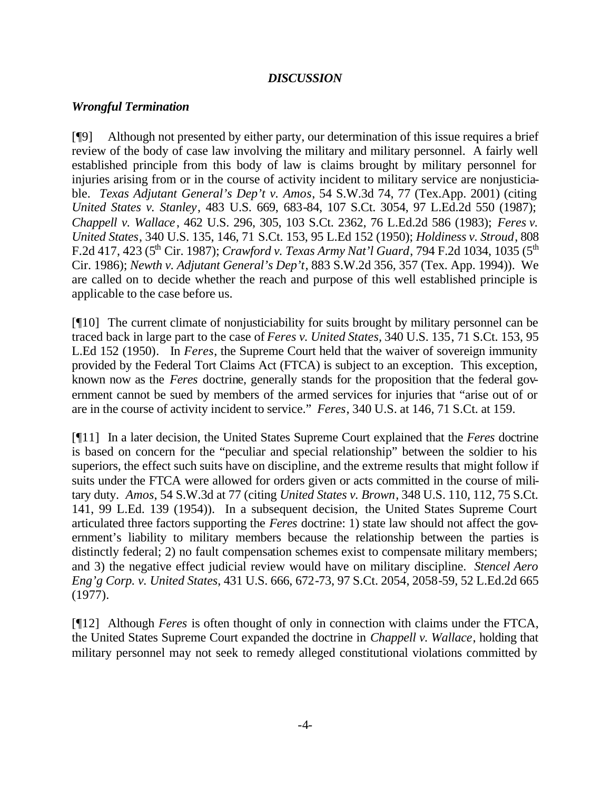# *DISCUSSION*

## *Wrongful Termination*

[¶9] Although not presented by either party, our determination of this issue requires a brief review of the body of case law involving the military and military personnel. A fairly well established principle from this body of law is claims brought by military personnel for injuries arising from or in the course of activity incident to military service are nonjusticiable. *Texas Adjutant General's Dep't v. Amos*, 54 S.W.3d 74, 77 (Tex.App. 2001) (citing *United States v. Stanley*, 483 U.S. 669, 683-84, 107 S.Ct. 3054, 97 L.Ed.2d 550 (1987); *Chappell v. Wallace*, 462 U.S. 296, 305, 103 S.Ct. 2362, 76 L.Ed.2d 586 (1983); *Feres v. United States*, 340 U.S. 135, 146, 71 S.Ct. 153, 95 L.Ed 152 (1950); *Holdiness v. Stroud*, 808 F.2d 417, 423 (5<sup>th</sup> Cir. 1987); *Crawford v. Texas Army Nat'l Guard*, 794 F.2d 1034, 1035 (5<sup>th</sup>) Cir. 1986); *Newth v. Adjutant General's Dep't*, 883 S.W.2d 356, 357 (Tex. App. 1994)). We are called on to decide whether the reach and purpose of this well established principle is applicable to the case before us.

[¶10] The current climate of nonjusticiability for suits brought by military personnel can be traced back in large part to the case of *Feres v. United States,* 340 U.S. 135, 71 S.Ct. 153, 95 L.Ed 152 (1950)*.* In *Feres*, the Supreme Court held that the waiver of sovereign immunity provided by the Federal Tort Claims Act (FTCA) is subject to an exception. This exception, known now as the *Feres* doctrine, generally stands for the proposition that the federal government cannot be sued by members of the armed services for injuries that "arise out of or are in the course of activity incident to service." *Feres*, 340 U.S. at 146, 71 S.Ct. at 159.

[¶11] In a later decision, the United States Supreme Court explained that the *Feres* doctrine is based on concern for the "peculiar and special relationship" between the soldier to his superiors, the effect such suits have on discipline, and the extreme results that might follow if suits under the FTCA were allowed for orders given or acts committed in the course of military duty. *Amos*, 54 S.W.3d at 77 (citing *United States v. Brown*, 348 U.S. 110, 112, 75 S.Ct. 141, 99 L.Ed. 139 (1954)). In a subsequent decision, the United States Supreme Court articulated three factors supporting the *Feres* doctrine: 1) state law should not affect the government's liability to military members because the relationship between the parties is distinctly federal; 2) no fault compensation schemes exist to compensate military members; and 3) the negative effect judicial review would have on military discipline. *Stencel Aero Eng'g Corp. v. United States*, 431 U.S. 666, 672-73, 97 S.Ct. 2054, 2058-59, 52 L.Ed.2d 665 (1977).

[¶12] Although *Feres* is often thought of only in connection with claims under the FTCA, the United States Supreme Court expanded the doctrine in *Chappell v. Wallace*, holding that military personnel may not seek to remedy alleged constitutional violations committed by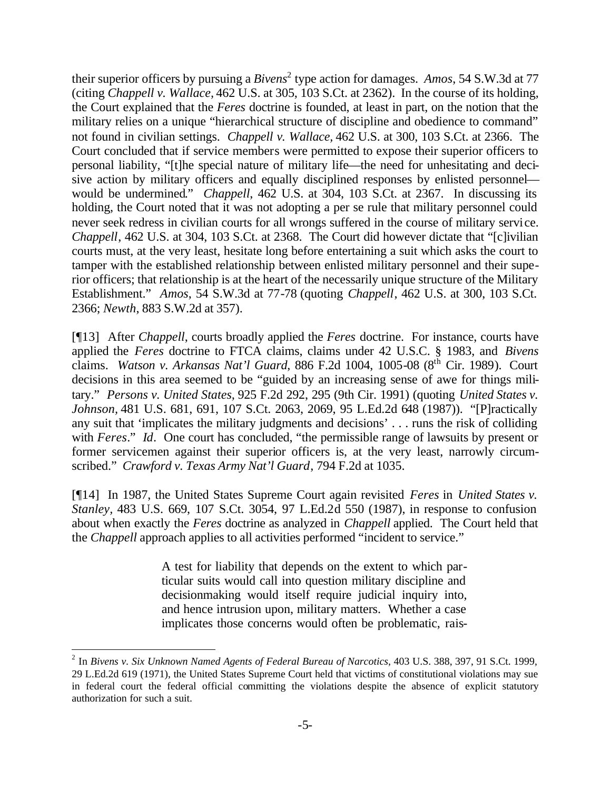their superior officers by pursuing a *Bivens*<sup>2</sup> type action for damages. *Amos*, 54 S.W.3d at 77 (citing *Chappell v. Wallace,* 462 U.S. at 305, 103 S.Ct. at 2362). In the course of its holding, the Court explained that the *Feres* doctrine is founded, at least in part, on the notion that the military relies on a unique "hierarchical structure of discipline and obedience to command" not found in civilian settings. *Chappell v. Wallace,* 462 U.S. at 300, 103 S.Ct. at 2366. The Court concluded that if service members were permitted to expose their superior officers to personal liability, "[t]he special nature of military life—the need for unhesitating and decisive action by military officers and equally disciplined responses by enlisted personnel would be undermined." *Chappell*, 462 U.S. at 304, 103 S.Ct. at 2367. In discussing its holding, the Court noted that it was not adopting a per se rule that military personnel could never seek redress in civilian courts for all wrongs suffered in the course of military service. *Chappell*, 462 U.S. at 304, 103 S.Ct. at 2368. The Court did however dictate that "[c]ivilian courts must, at the very least, hesitate long before entertaining a suit which asks the court to tamper with the established relationship between enlisted military personnel and their superior officers; that relationship is at the heart of the necessarily unique structure of the Military Establishment." *Amos*, 54 S.W.3d at 77-78 (quoting *Chappell*, 462 U.S. at 300, 103 S.Ct. 2366; *Newth*, 883 S.W.2d at 357).

[¶13] After *Chappell*, courts broadly applied the *Feres* doctrine. For instance, courts have applied the *Feres* doctrine to FTCA claims, claims under 42 U.S.C. § 1983, and *Bivens* claims. *Watson v. Arkansas Nat'l Guard*, 886 F.2d 1004, 1005-08 (8th Cir. 1989). Court decisions in this area seemed to be "guided by an increasing sense of awe for things military." *Persons v. United States,* 925 F.2d 292, 295 (9th Cir. 1991) (quoting *United States v. Johnson,* 481 U.S. 681, 691, 107 S.Ct. 2063, 2069, 95 L.Ed.2d 648 (1987)). "[P]ractically any suit that 'implicates the military judgments and decisions' . . . runs the risk of colliding with *Feres*." *Id*. One court has concluded, "the permissible range of lawsuits by present or former servicemen against their superior officers is, at the very least, narrowly circumscribed." *Crawford v. Texas Army Nat'l Guard*, 794 F.2d at 1035.

[¶14] In 1987, the United States Supreme Court again revisited *Feres* in *United States v. Stanley,* 483 U.S. 669, 107 S.Ct. 3054, 97 L.Ed.2d 550 (1987), in response to confusion about when exactly the *Feres* doctrine as analyzed in *Chappell* applied. The Court held that the *Chappell* approach applies to all activities performed "incident to service."

> A test for liability that depends on the extent to which particular suits would call into question military discipline and decisionmaking would itself require judicial inquiry into, and hence intrusion upon, military matters. Whether a case implicates those concerns would often be problematic, rais-

<sup>2</sup> In *Bivens v. Six Unknown Named Agents of Federal Bureau of Narcotics*, 403 U.S. 388, 397, 91 S.Ct. 1999, 29 L.Ed.2d 619 (1971), the United States Supreme Court held that victims of constitutional violations may sue in federal court the federal official committing the violations despite the absence of explicit statutory authorization for such a suit.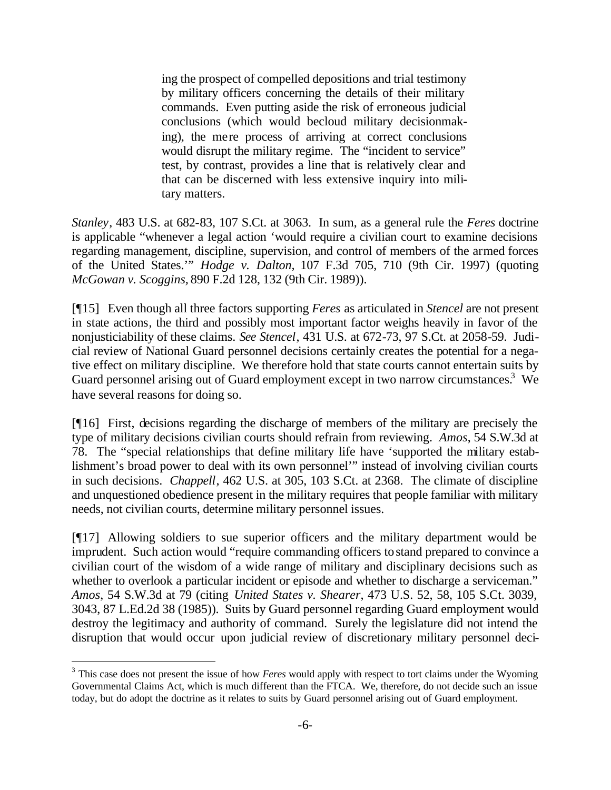ing the prospect of compelled depositions and trial testimony by military officers concerning the details of their military commands. Even putting aside the risk of erroneous judicial conclusions (which would becloud military decisionmaking), the mere process of arriving at correct conclusions would disrupt the military regime. The "incident to service" test, by contrast, provides a line that is relatively clear and that can be discerned with less extensive inquiry into military matters.

*Stanley*, 483 U.S. at 682-83, 107 S.Ct. at 3063. In sum, as a general rule the *Feres* doctrine is applicable "whenever a legal action 'would require a civilian court to examine decisions regarding management, discipline, supervision, and control of members of the armed forces of the United States.'" *Hodge v. Dalton,* 107 F.3d 705, 710 (9th Cir. 1997) (quoting *McGowan v. Scoggins,* 890 F.2d 128, 132 (9th Cir. 1989)).

[¶15] Even though all three factors supporting *Feres* as articulated in *Stencel* are not present in state actions, the third and possibly most important factor weighs heavily in favor of the nonjusticiability of these claims. *See Stencel*, 431 U.S. at 672-73, 97 S.Ct. at 2058-59. Judicial review of National Guard personnel decisions certainly creates the potential for a negative effect on military discipline. We therefore hold that state courts cannot entertain suits by Guard personnel arising out of Guard employment except in two narrow circumstances.<sup>3</sup> We have several reasons for doing so.

[¶16] First, decisions regarding the discharge of members of the military are precisely the type of military decisions civilian courts should refrain from reviewing. *Amos*, 54 S.W.3d at 78. The "special relationships that define military life have 'supported the military establishment's broad power to deal with its own personnel'" instead of involving civilian courts in such decisions. *Chappell*, 462 U.S. at 305, 103 S.Ct. at 2368. The climate of discipline and unquestioned obedience present in the military requires that people familiar with military needs, not civilian courts, determine military personnel issues.

[¶17] Allowing soldiers to sue superior officers and the military department would be imprudent. Such action would "require commanding officers to stand prepared to convince a civilian court of the wisdom of a wide range of military and disciplinary decisions such as whether to overlook a particular incident or episode and whether to discharge a serviceman." *Amos*, 54 S.W.3d at 79 (citing *United States v. Shearer*, 473 U.S. 52, 58, 105 S.Ct. 3039, 3043, 87 L.Ed.2d 38 (1985)). Suits by Guard personnel regarding Guard employment would destroy the legitimacy and authority of command. Surely the legislature did not intend the disruption that would occur upon judicial review of discretionary military personnel deci-

<sup>&</sup>lt;sup>3</sup> This case does not present the issue of how *Feres* would apply with respect to tort claims under the Wyoming Governmental Claims Act, which is much different than the FTCA. We, therefore, do not decide such an issue today, but do adopt the doctrine as it relates to suits by Guard personnel arising out of Guard employment.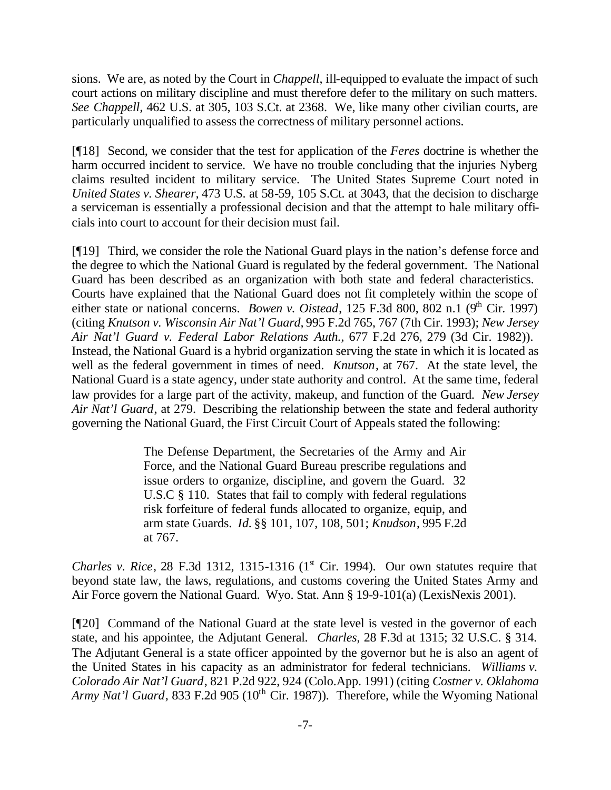sions. We are, as noted by the Court in *Chappell*, ill-equipped to evaluate the impact of such court actions on military discipline and must therefore defer to the military on such matters. *See Chappell,* 462 U.S. at 305, 103 S.Ct. at 2368. We, like many other civilian courts, are particularly unqualified to assess the correctness of military personnel actions.

[¶18] Second, we consider that the test for application of the *Feres* doctrine is whether the harm occurred incident to service. We have no trouble concluding that the injuries Nyberg claims resulted incident to military service. The United States Supreme Court noted in *United States v. Shearer,* 473 U.S. at 58-59, 105 S.Ct. at 3043, that the decision to discharge a serviceman is essentially a professional decision and that the attempt to hale military officials into court to account for their decision must fail.

[¶19] Third, we consider the role the National Guard plays in the nation's defense force and the degree to which the National Guard is regulated by the federal government. The National Guard has been described as an organization with both state and federal characteristics. Courts have explained that the National Guard does not fit completely within the scope of either state or national concerns. *Bowen v. Oistead*,  $125$  F.3d 800, 802 n.1 (9<sup>th</sup> Cir. 1997) (citing *Knutson v. Wisconsin Air Nat'l Guard,* 995 F.2d 765, 767 (7th Cir. 1993); *New Jersey Air Nat'l Guard v. Federal Labor Relations Auth.,* 677 F.2d 276, 279 (3d Cir. 1982)). Instead, the National Guard is a hybrid organization serving the state in which it is located as well as the federal government in times of need. *Knutson*, at 767. At the state level, the National Guard is a state agency, under state authority and control. At the same time, federal law provides for a large part of the activity, makeup, and function of the Guard. *New Jersey Air Nat'l Guard*, at 279.Describing the relationship between the state and federal authority governing the National Guard, the First Circuit Court of Appeals stated the following:

> The Defense Department, the Secretaries of the Army and Air Force, and the National Guard Bureau prescribe regulations and issue orders to organize, discipline, and govern the Guard. 32 U.S.C § 110. States that fail to comply with federal regulations risk forfeiture of federal funds allocated to organize, equip, and arm state Guards. *Id.* §§ 101, 107, 108, 501; *Knudson*, 995 F.2d at 767.

*Charles v. Rice*, 28 F.3d 1312, 1315-1316  $(1^s$  Cir. 1994). Our own statutes require that beyond state law, the laws, regulations, and customs covering the United States Army and Air Force govern the National Guard. Wyo. Stat. Ann § 19-9-101(a) (LexisNexis 2001).

[¶20] Command of the National Guard at the state level is vested in the governor of each state, and his appointee, the Adjutant General. *Charles*, 28 F.3d at 1315; 32 U.S.C. § 314. The Adjutant General is a state officer appointed by the governor but he is also an agent of the United States in his capacity as an administrator for federal technicians. *Williams v. Colorado Air Nat'l Guard*, 821 P.2d 922, 924 (Colo.App. 1991) (citing *Costner v. Oklahoma Army Nat'l Guard*, 833 F.2d 905 (10<sup>th</sup> Cir. 1987)). Therefore, while the Wyoming National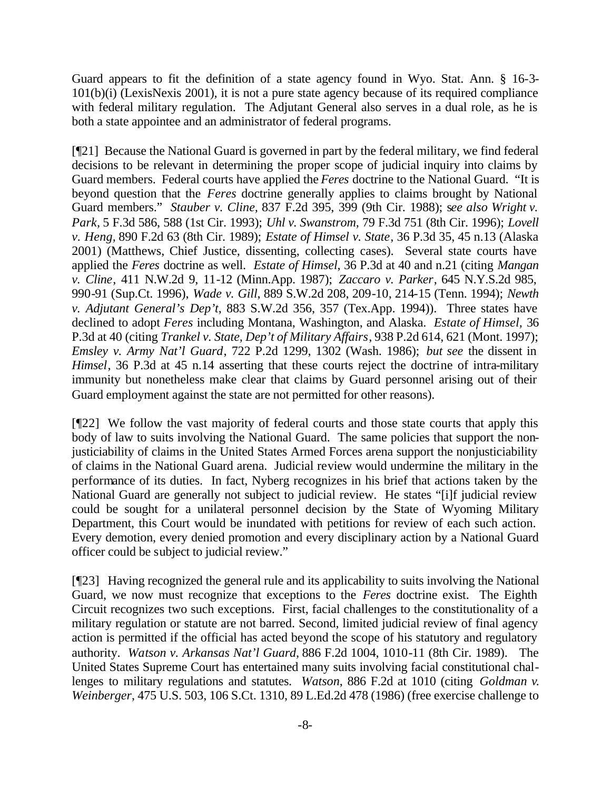Guard appears to fit the definition of a state agency found in Wyo. Stat. Ann. § 16-3- 101(b)(i) (LexisNexis 2001), it is not a pure state agency because of its required compliance with federal military regulation. The Adjutant General also serves in a dual role, as he is both a state appointee and an administrator of federal programs.

[¶21] Because the National Guard is governed in part by the federal military, we find federal decisions to be relevant in determining the proper scope of judicial inquiry into claims by Guard members. Federal courts have applied the *Feres* doctrine to the National Guard. "It is beyond question that the *Feres* doctrine generally applies to claims brought by National Guard members." *Stauber v. Cline,* 837 F.2d 395, 399 (9th Cir. 1988); s*ee also Wright v. Park,* 5 F.3d 586, 588 (1st Cir. 1993); *Uhl v. Swanstrom,* 79 F.3d 751 (8th Cir. 1996); *Lovell v. Heng,* 890 F.2d 63 (8th Cir. 1989); *Estate of Himsel v. State*, 36 P.3d 35, 45 n.13 (Alaska 2001) (Matthews, Chief Justice, dissenting, collecting cases). Several state courts have applied the *Feres* doctrine as well. *Estate of Himsel*, 36 P.3d at 40 and n.21 (citing *Mangan v. Cline*, 411 N.W.2d 9, 11-12 (Minn.App. 1987); *Zaccaro v. Parker*, 645 N.Y.S.2d 985, 990-91 (Sup.Ct. 1996), *Wade v. Gill*, 889 S.W.2d 208, 209-10, 214-15 (Tenn. 1994); *Newth v. Adjutant General's Dep't*, 883 S.W.2d 356, 357 (Tex.App. 1994)). Three states have declined to adopt *Feres* including Montana, Washington, and Alaska. *Estate of Himsel,* 36 P.3d at 40 (citing *Trankel v. State, Dep't of Military Affairs*, 938 P.2d 614, 621 (Mont. 1997); *Emsley v. Army Nat'l Guard*, 722 P.2d 1299, 1302 (Wash. 1986); *but see* the dissent in *Himsel*, 36 P.3d at 45 n.14 asserting that these courts reject the doctrine of intra-military immunity but nonetheless make clear that claims by Guard personnel arising out of their Guard employment against the state are not permitted for other reasons).

[¶22] We follow the vast majority of federal courts and those state courts that apply this body of law to suits involving the National Guard. The same policies that support the nonjusticiability of claims in the United States Armed Forces arena support the nonjusticiability of claims in the National Guard arena. Judicial review would undermine the military in the performance of its duties. In fact, Nyberg recognizes in his brief that actions taken by the National Guard are generally not subject to judicial review. He states "[i]f judicial review could be sought for a unilateral personnel decision by the State of Wyoming Military Department, this Court would be inundated with petitions for review of each such action. Every demotion, every denied promotion and every disciplinary action by a National Guard officer could be subject to judicial review."

[¶23] Having recognized the general rule and its applicability to suits involving the National Guard, we now must recognize that exceptions to the *Feres* doctrine exist. The Eighth Circuit recognizes two such exceptions. First, facial challenges to the constitutionality of a military regulation or statute are not barred. Second, limited judicial review of final agency action is permitted if the official has acted beyond the scope of his statutory and regulatory authority. *Watson v. Arkansas Nat'l Guard,* 886 F.2d 1004, 1010-11 (8th Cir. 1989). The United States Supreme Court has entertained many suits involving facial constitutional challenges to military regulations and statutes. *Watson*, 886 F.2d at 1010 (citing *Goldman v. Weinberger*, 475 U.S. 503, 106 S.Ct. 1310, 89 L.Ed.2d 478 (1986) (free exercise challenge to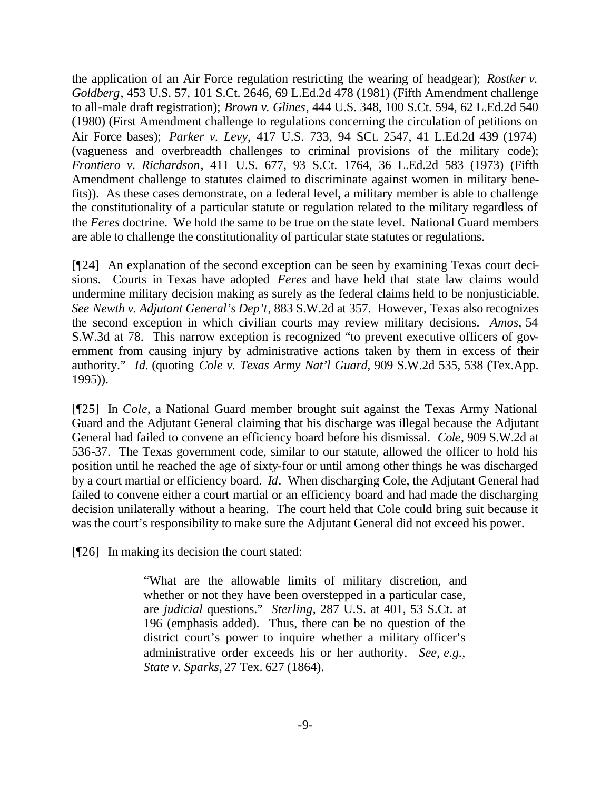the application of an Air Force regulation restricting the wearing of headgear); *Rostker v. Goldberg*, 453 U.S. 57, 101 S.Ct. 2646, 69 L.Ed.2d 478 (1981) (Fifth Amendment challenge to all-male draft registration); *Brown v. Glines*, 444 U.S. 348, 100 S.Ct. 594, 62 L.Ed.2d 540 (1980) (First Amendment challenge to regulations concerning the circulation of petitions on Air Force bases); *Parker v. Levy*, 417 U.S. 733, 94 SCt. 2547, 41 L.Ed.2d 439 (1974) (vagueness and overbreadth challenges to criminal provisions of the military code); *Frontiero v. Richardson*, 411 U.S. 677, 93 S.Ct. 1764, 36 L.Ed.2d 583 (1973) (Fifth Amendment challenge to statutes claimed to discriminate against women in military benefits)). As these cases demonstrate, on a federal level, a military member is able to challenge the constitutionality of a particular statute or regulation related to the military regardless of the *Feres* doctrine. We hold the same to be true on the state level. National Guard members are able to challenge the constitutionality of particular state statutes or regulations.

[¶24] An explanation of the second exception can be seen by examining Texas court decisions. Courts in Texas have adopted *Feres* and have held that state law claims would undermine military decision making as surely as the federal claims held to be nonjusticiable. *See Newth v. Adjutant General's Dep't*, 883 S.W.2d at 357. However, Texas also recognizes the second exception in which civilian courts may review military decisions. *Amos*, 54 S.W.3d at 78. This narrow exception is recognized "to prevent executive officers of government from causing injury by administrative actions taken by them in excess of their authority." *Id.* (quoting *Cole v. Texas Army Nat'l Guard*, 909 S.W.2d 535, 538 (Tex.App. 1995)).

[¶25] In *Cole*, a National Guard member brought suit against the Texas Army National Guard and the Adjutant General claiming that his discharge was illegal because the Adjutant General had failed to convene an efficiency board before his dismissal. *Cole*, 909 S.W.2d at 536-37. The Texas government code, similar to our statute, allowed the officer to hold his position until he reached the age of sixty-four or until among other things he was discharged by a court martial or efficiency board. *Id*. When discharging Cole, the Adjutant General had failed to convene either a court martial or an efficiency board and had made the discharging decision unilaterally without a hearing. The court held that Cole could bring suit because it was the court's responsibility to make sure the Adjutant General did not exceed his power.

[¶26] In making its decision the court stated:

"What are the allowable limits of military discretion, and whether or not they have been overstepped in a particular case, are *judicial* questions." *Sterling*, 287 U.S. at 401, 53 S.Ct. at 196 (emphasis added). Thus, there can be no question of the district court's power to inquire whether a military officer's administrative order exceeds his or her authority. *See, e.g., State v. Sparks,* 27 Tex. 627 (1864).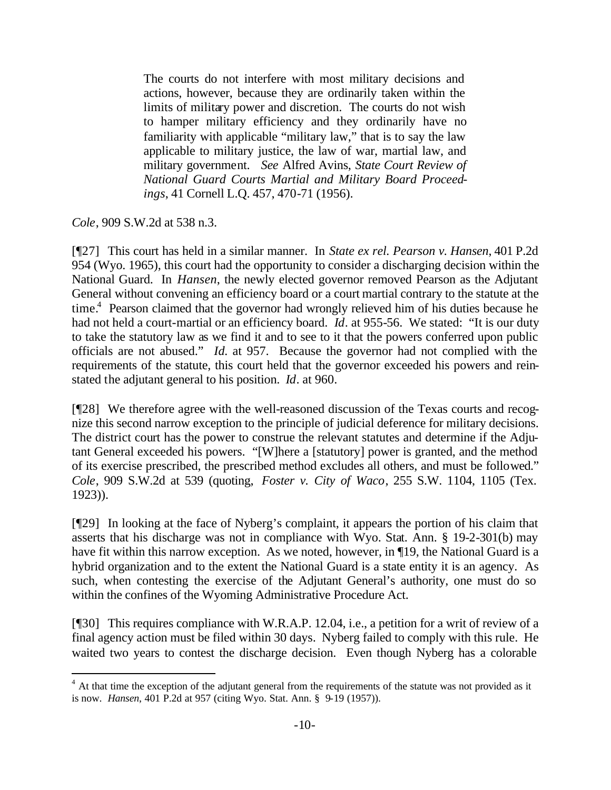The courts do not interfere with most military decisions and actions, however, because they are ordinarily taken within the limits of military power and discretion. The courts do not wish to hamper military efficiency and they ordinarily have no familiarity with applicable "military law," that is to say the law applicable to military justice, the law of war, martial law, and military government. *See* Alfred Avins, *State Court Review of National Guard Courts Martial and Military Board Proceedings*, 41 Cornell L.Q. 457, 470-71 (1956).

*Cole*, 909 S.W.2d at 538 n.3.

l

[¶27] This court has held in a similar manner. In *State ex rel. Pearson v. Hansen*, 401 P.2d 954 (Wyo. 1965), this court had the opportunity to consider a discharging decision within the National Guard. In *Hansen*, the newly elected governor removed Pearson as the Adjutant General without convening an efficiency board or a court martial contrary to the statute at the time.<sup>4</sup> Pearson claimed that the governor had wrongly relieved him of his duties because he had not held a court-martial or an efficiency board. *Id*. at 955-56. We stated: "It is our duty to take the statutory law as we find it and to see to it that the powers conferred upon public officials are not abused." *Id.* at 957. Because the governor had not complied with the requirements of the statute, this court held that the governor exceeded his powers and reinstated the adjutant general to his position. *Id*. at 960.

[¶28] We therefore agree with the well-reasoned discussion of the Texas courts and recognize this second narrow exception to the principle of judicial deference for military decisions. The district court has the power to construe the relevant statutes and determine if the Adjutant General exceeded his powers. "[W]here a [statutory] power is granted, and the method of its exercise prescribed, the prescribed method excludes all others, and must be followed." *Cole*, 909 S.W.2d at 539 (quoting, *Foster v. City of Waco*, 255 S.W. 1104, 1105 (Tex. 1923)).

[¶29] In looking at the face of Nyberg's complaint, it appears the portion of his claim that asserts that his discharge was not in compliance with Wyo. Stat. Ann. § 19-2-301(b) may have fit within this narrow exception. As we noted, however, in ¶19, the National Guard is a hybrid organization and to the extent the National Guard is a state entity it is an agency. As such, when contesting the exercise of the Adjutant General's authority, one must do so within the confines of the Wyoming Administrative Procedure Act.

[¶30] This requires compliance with W.R.A.P. 12.04, i.e., a petition for a writ of review of a final agency action must be filed within 30 days. Nyberg failed to comply with this rule. He waited two years to contest the discharge decision. Even though Nyberg has a colorable

 $4$  At that time the exception of the adjutant general from the requirements of the statute was not provided as it is now. *Hansen*, 401 P.2d at 957 (citing Wyo. Stat. Ann. § 9-19 (1957)).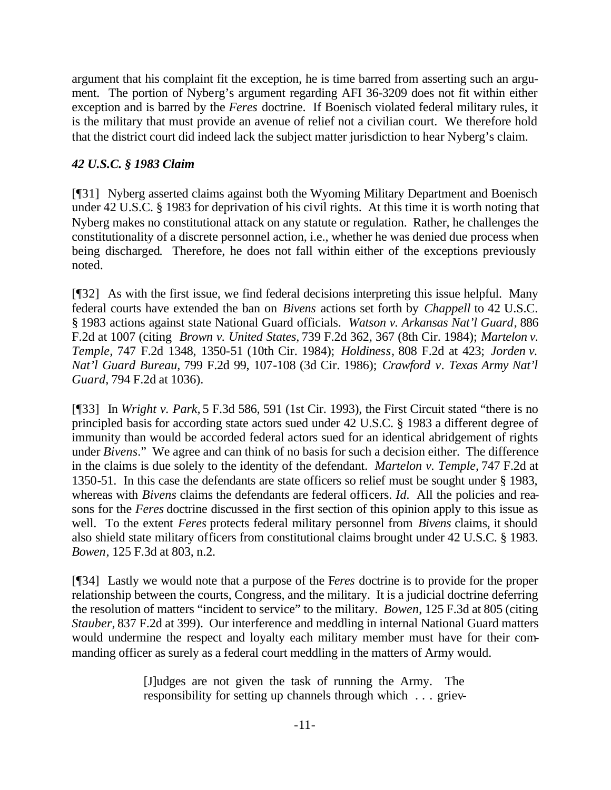argument that his complaint fit the exception, he is time barred from asserting such an argument. The portion of Nyberg's argument regarding AFI 36-3209 does not fit within either exception and is barred by the *Feres* doctrine. If Boenisch violated federal military rules, it is the military that must provide an avenue of relief not a civilian court. We therefore hold that the district court did indeed lack the subject matter jurisdiction to hear Nyberg's claim.

# *42 U.S.C. § 1983 Claim*

[¶31] Nyberg asserted claims against both the Wyoming Military Department and Boenisch under 42 U.S.C. § 1983 for deprivation of his civil rights. At this time it is worth noting that Nyberg makes no constitutional attack on any statute or regulation. Rather, he challenges the constitutionality of a discrete personnel action, i.e., whether he was denied due process when being discharged. Therefore, he does not fall within either of the exceptions previously noted.

[¶32] As with the first issue, we find federal decisions interpreting this issue helpful. Many federal courts have extended the ban on *Bivens* actions set forth by *Chappell* to 42 U.S.C. § 1983 actions against state National Guard officials. *Watson v. Arkansas Nat'l Guard*, 886 F.2d at 1007 (citing *Brown v. United States,* 739 F.2d 362, 367 (8th Cir. 1984); *Martelon v. Temple,* 747 F.2d 1348, 1350-51 (10th Cir. 1984); *Holdiness,* 808 F.2d at 423; *Jorden v. Nat'l Guard Bureau,* 799 F.2d 99, 107-108 (3d Cir. 1986); *Crawford v. Texas Army Nat'l Guard*, 794 F.2d at 1036).

[¶33] In *Wright v. Park,* 5 F.3d 586, 591 (1st Cir. 1993), the First Circuit stated "there is no principled basis for according state actors sued under 42 U.S.C. § 1983 a different degree of immunity than would be accorded federal actors sued for an identical abridgement of rights under *Bivens*." We agree and can think of no basis for such a decision either. The difference in the claims is due solely to the identity of the defendant. *Martelon v. Temple,* 747 F.2d at 1350-51. In this case the defendants are state officers so relief must be sought under § 1983, whereas with *Bivens* claims the defendants are federal officers. *Id.* All the policies and reasons for the *Feres* doctrine discussed in the first section of this opinion apply to this issue as well. To the extent *Feres* protects federal military personnel from *Bivens* claims, it should also shield state military officers from constitutional claims brought under 42 U.S.C. § 1983. *Bowen*, 125 F.3d at 803, n.2.

[¶34] Lastly we would note that a purpose of the F*eres* doctrine is to provide for the proper relationship between the courts, Congress, and the military. It is a judicial doctrine deferring the resolution of matters "incident to service" to the military. *Bowen*, 125 F.3d at 805 (citing *Stauber,* 837 F.2d at 399). Our interference and meddling in internal National Guard matters would undermine the respect and loyalty each military member must have for their commanding officer as surely as a federal court meddling in the matters of Army would.

> [J]udges are not given the task of running the Army. The responsibility for setting up channels through which . . . griev-